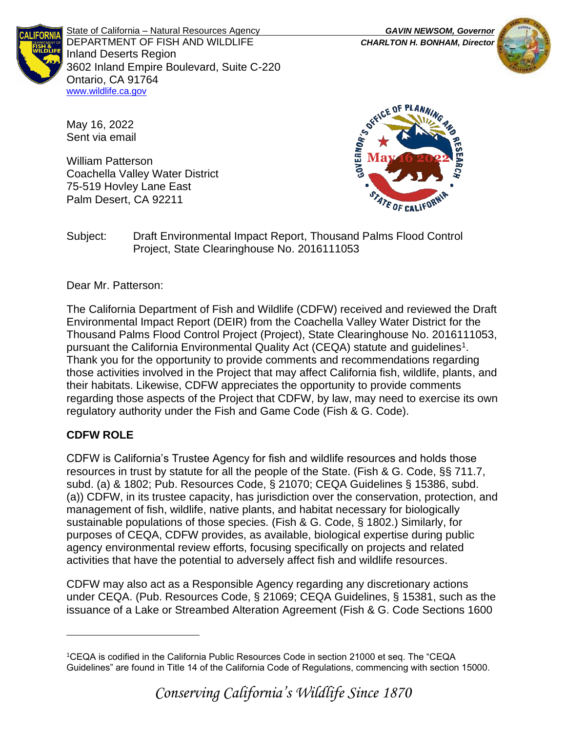

State of California – Natural Resources Agency *GAVIN NEWSOM, Governor* DEPARTMENT OF FISH AND WILDLIFE *CHARLTON H. BONHAM, Director*  Inland Deserts Region 3602 Inland Empire Boulevard, Suite C-220 Ontario, CA 91764 [www.wildlife.ca.gov](http://www.wildlife.ca.gov/)



May 16, 2022 Sent via email

William Patterson Coachella Valley Water District 75-519 Hovley Lane East Palm Desert, CA 92211



Subject: Draft Environmental Impact Report, Thousand Palms Flood Control Project, State Clearinghouse No. 2016111053

Dear Mr. Patterson:

The California Department of Fish and Wildlife (CDFW) received and reviewed the Draft Environmental Impact Report (DEIR) from the Coachella Valley Water District for the Thousand Palms Flood Control Project (Project), State Clearinghouse No. 2016111053, pursuant the California Environmental Quality Act (CEQA) statute and guidelines<sup>1</sup>. Thank you for the opportunity to provide comments and recommendations regarding those activities involved in the Project that may affect California fish, wildlife, plants, and their habitats. Likewise, CDFW appreciates the opportunity to provide comments regarding those aspects of the Project that CDFW, by law, may need to exercise its own regulatory authority under the Fish and Game Code (Fish & G. Code).

# **CDFW ROLE**

CDFW is California's Trustee Agency for fish and wildlife resources and holds those resources in trust by statute for all the people of the State. (Fish & G. Code, §§ 711.7, subd. (a) & 1802; Pub. Resources Code, § 21070; CEQA Guidelines § 15386, subd. (a)) CDFW, in its trustee capacity, has jurisdiction over the conservation, protection, and management of fish, wildlife, native plants, and habitat necessary for biologically sustainable populations of those species. (Fish & G. Code, § 1802.) Similarly, for purposes of CEQA, CDFW provides, as available, biological expertise during public agency environmental review efforts, focusing specifically on projects and related activities that have the potential to adversely affect fish and wildlife resources.

CDFW may also act as a Responsible Agency regarding any discretionary actions under CEQA. (Pub. Resources Code, § 21069; CEQA Guidelines, § 15381, such as the issuance of a Lake or Streambed Alteration Agreement (Fish & G. Code Sections 1600

<sup>1</sup>CEQA is codified in the California Public Resources Code in section 21000 et seq. The "CEQA Guidelines" are found in Title 14 of the California Code of Regulations, commencing with section 15000.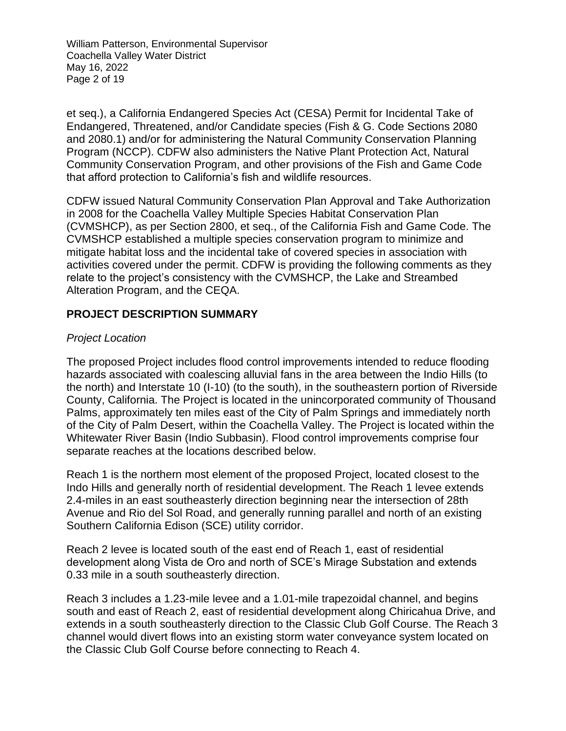William Patterson, Environmental Supervisor Coachella Valley Water District May 16, 2022 Page 2 of 19

et seq.), a California Endangered Species Act (CESA) Permit for Incidental Take of Endangered, Threatened, and/or Candidate species (Fish & G. Code Sections 2080 and 2080.1) and/or for administering the Natural Community Conservation Planning Program (NCCP). CDFW also administers the Native Plant Protection Act, Natural Community Conservation Program, and other provisions of the Fish and Game Code that afford protection to California's fish and wildlife resources.

CDFW issued Natural Community Conservation Plan Approval and Take Authorization in 2008 for the Coachella Valley Multiple Species Habitat Conservation Plan (CVMSHCP), as per Section 2800, et seq., of the California Fish and Game Code. The CVMSHCP established a multiple species conservation program to minimize and mitigate habitat loss and the incidental take of covered species in association with activities covered under the permit. CDFW is providing the following comments as they relate to the project's consistency with the CVMSHCP, the Lake and Streambed Alteration Program, and the CEQA.

### **PROJECT DESCRIPTION SUMMARY**

#### *Project Location*

The proposed Project includes flood control improvements intended to reduce flooding hazards associated with coalescing alluvial fans in the area between the Indio Hills (to the north) and Interstate 10 (I-10) (to the south), in the southeastern portion of Riverside County, California. The Project is located in the unincorporated community of Thousand Palms, approximately ten miles east of the City of Palm Springs and immediately north of the City of Palm Desert, within the Coachella Valley. The Project is located within the Whitewater River Basin (Indio Subbasin). Flood control improvements comprise four separate reaches at the locations described below.

Reach 1 is the northern most element of the proposed Project, located closest to the Indo Hills and generally north of residential development. The Reach 1 levee extends 2.4-miles in an east southeasterly direction beginning near the intersection of 28th Avenue and Rio del Sol Road, and generally running parallel and north of an existing Southern California Edison (SCE) utility corridor.

Reach 2 levee is located south of the east end of Reach 1, east of residential development along Vista de Oro and north of SCE's Mirage Substation and extends 0.33 mile in a south southeasterly direction.

Reach 3 includes a 1.23-mile levee and a 1.01-mile trapezoidal channel, and begins south and east of Reach 2, east of residential development along Chiricahua Drive, and extends in a south southeasterly direction to the Classic Club Golf Course. The Reach 3 channel would divert flows into an existing storm water conveyance system located on the Classic Club Golf Course before connecting to Reach 4.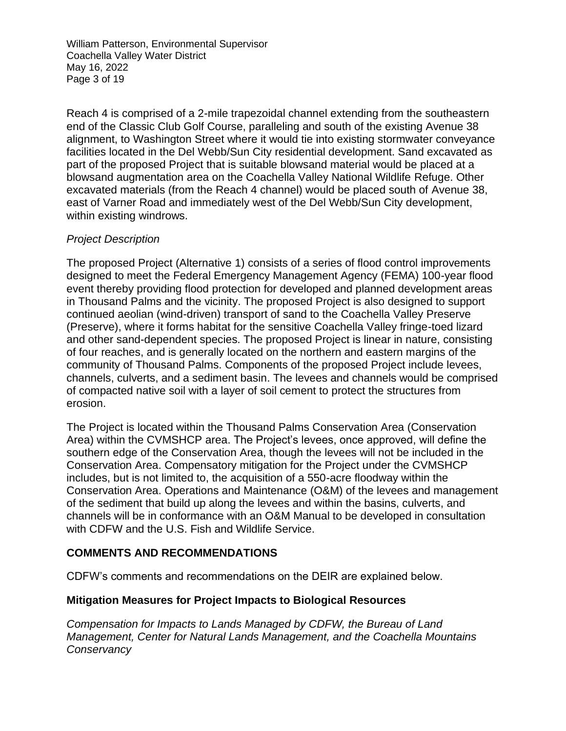William Patterson, Environmental Supervisor Coachella Valley Water District May 16, 2022 Page 3 of 19

Reach 4 is comprised of a 2-mile trapezoidal channel extending from the southeastern end of the Classic Club Golf Course, paralleling and south of the existing Avenue 38 alignment, to Washington Street where it would tie into existing stormwater conveyance facilities located in the Del Webb/Sun City residential development. Sand excavated as part of the proposed Project that is suitable blowsand material would be placed at a blowsand augmentation area on the Coachella Valley National Wildlife Refuge. Other excavated materials (from the Reach 4 channel) would be placed south of Avenue 38, east of Varner Road and immediately west of the Del Webb/Sun City development, within existing windrows.

### *Project Description*

The proposed Project (Alternative 1) consists of a series of flood control improvements designed to meet the Federal Emergency Management Agency (FEMA) 100-year flood event thereby providing flood protection for developed and planned development areas in Thousand Palms and the vicinity. The proposed Project is also designed to support continued aeolian (wind-driven) transport of sand to the Coachella Valley Preserve (Preserve), where it forms habitat for the sensitive Coachella Valley fringe-toed lizard and other sand-dependent species. The proposed Project is linear in nature, consisting of four reaches, and is generally located on the northern and eastern margins of the community of Thousand Palms. Components of the proposed Project include levees, channels, culverts, and a sediment basin. The levees and channels would be comprised of compacted native soil with a layer of soil cement to protect the structures from erosion.

The Project is located within the Thousand Palms Conservation Area (Conservation Area) within the CVMSHCP area. The Project's levees, once approved, will define the southern edge of the Conservation Area, though the levees will not be included in the Conservation Area. Compensatory mitigation for the Project under the CVMSHCP includes, but is not limited to, the acquisition of a 550-acre floodway within the Conservation Area. Operations and Maintenance (O&M) of the levees and management of the sediment that build up along the levees and within the basins, culverts, and channels will be in conformance with an O&M Manual to be developed in consultation with CDFW and the U.S. Fish and Wildlife Service.

#### **COMMENTS AND RECOMMENDATIONS**

CDFW's comments and recommendations on the DEIR are explained below.

#### **Mitigation Measures for Project Impacts to Biological Resources**

*Compensation for Impacts to Lands Managed by CDFW, the Bureau of Land Management, Center for Natural Lands Management, and the Coachella Mountains Conservancy*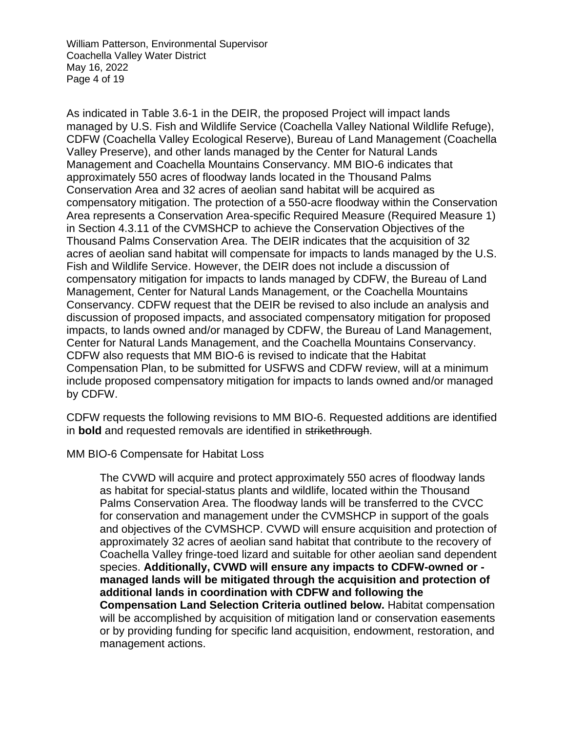William Patterson, Environmental Supervisor Coachella Valley Water District May 16, 2022 Page 4 of 19

As indicated in Table 3.6-1 in the DEIR, the proposed Project will impact lands managed by U.S. Fish and Wildlife Service (Coachella Valley National Wildlife Refuge), CDFW (Coachella Valley Ecological Reserve), Bureau of Land Management (Coachella Valley Preserve), and other lands managed by the Center for Natural Lands Management and Coachella Mountains Conservancy. MM BIO-6 indicates that approximately 550 acres of floodway lands located in the Thousand Palms Conservation Area and 32 acres of aeolian sand habitat will be acquired as compensatory mitigation. The protection of a 550-acre floodway within the Conservation Area represents a Conservation Area-specific Required Measure (Required Measure 1) in Section 4.3.11 of the CVMSHCP to achieve the Conservation Objectives of the Thousand Palms Conservation Area. The DEIR indicates that the acquisition of 32 acres of aeolian sand habitat will compensate for impacts to lands managed by the U.S. Fish and Wildlife Service. However, the DEIR does not include a discussion of compensatory mitigation for impacts to lands managed by CDFW, the Bureau of Land Management, Center for Natural Lands Management, or the Coachella Mountains Conservancy. CDFW request that the DEIR be revised to also include an analysis and discussion of proposed impacts, and associated compensatory mitigation for proposed impacts, to lands owned and/or managed by CDFW, the Bureau of Land Management, Center for Natural Lands Management, and the Coachella Mountains Conservancy. CDFW also requests that MM BIO-6 is revised to indicate that the Habitat Compensation Plan, to be submitted for USFWS and CDFW review, will at a minimum include proposed compensatory mitigation for impacts to lands owned and/or managed by CDFW.

CDFW requests the following revisions to MM BIO-6. Requested additions are identified in **bold** and requested removals are identified in strikethrough.

MM BIO-6 Compensate for Habitat Loss

The CVWD will acquire and protect approximately 550 acres of floodway lands as habitat for special-status plants and wildlife, located within the Thousand Palms Conservation Area. The floodway lands will be transferred to the CVCC for conservation and management under the CVMSHCP in support of the goals and objectives of the CVMSHCP. CVWD will ensure acquisition and protection of approximately 32 acres of aeolian sand habitat that contribute to the recovery of Coachella Valley fringe-toed lizard and suitable for other aeolian sand dependent species. **Additionally, CVWD will ensure any impacts to CDFW-owned or managed lands will be mitigated through the acquisition and protection of additional lands in coordination with CDFW and following the Compensation Land Selection Criteria outlined below.** Habitat compensation will be accomplished by acquisition of mitigation land or conservation easements or by providing funding for specific land acquisition, endowment, restoration, and management actions.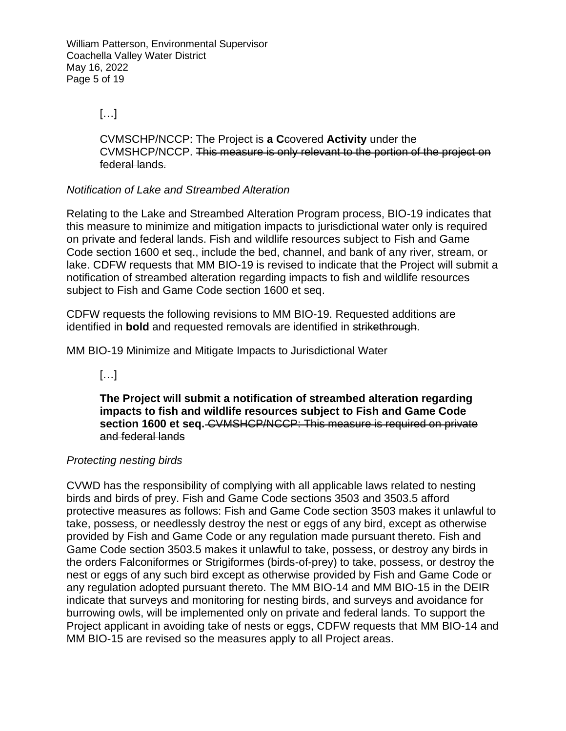William Patterson, Environmental Supervisor Coachella Valley Water District May 16, 2022 Page 5 of 19

#### […]

CVMSCHP/NCCP: The Project is **a C**covered **Activity** under the CVMSHCP/NCCP. This measure is only relevant to the portion of the project on federal lands.

### *Notification of Lake and Streambed Alteration*

Relating to the Lake and Streambed Alteration Program process, BIO-19 indicates that this measure to minimize and mitigation impacts to jurisdictional water only is required on private and federal lands. Fish and wildlife resources subject to Fish and Game Code section 1600 et seq., include the bed, channel, and bank of any river, stream, or lake. CDFW requests that MM BIO-19 is revised to indicate that the Project will submit a notification of streambed alteration regarding impacts to fish and wildlife resources subject to Fish and Game Code section 1600 et seq.

CDFW requests the following revisions to MM BIO-19. Requested additions are identified in **bold** and requested removals are identified in strikethrough.

MM BIO-19 Minimize and Mitigate Impacts to Jurisdictional Water

#### $[...]$

**The Project will submit a notification of streambed alteration regarding impacts to fish and wildlife resources subject to Fish and Game Code section 1600 et seq.** CVMSHCP/NCCP: This measure is required on private and federal lands

#### *Protecting nesting birds*

CVWD has the responsibility of complying with all applicable laws related to nesting birds and birds of prey. Fish and Game Code sections 3503 and 3503.5 afford protective measures as follows: Fish and Game Code section 3503 makes it unlawful to take, possess, or needlessly destroy the nest or eggs of any bird, except as otherwise provided by Fish and Game Code or any regulation made pursuant thereto. Fish and Game Code section 3503.5 makes it unlawful to take, possess, or destroy any birds in the orders Falconiformes or Strigiformes (birds-of-prey) to take, possess, or destroy the nest or eggs of any such bird except as otherwise provided by Fish and Game Code or any regulation adopted pursuant thereto. The MM BIO-14 and MM BIO-15 in the DEIR indicate that surveys and monitoring for nesting birds, and surveys and avoidance for burrowing owls, will be implemented only on private and federal lands. To support the Project applicant in avoiding take of nests or eggs, CDFW requests that MM BIO-14 and MM BIO-15 are revised so the measures apply to all Project areas.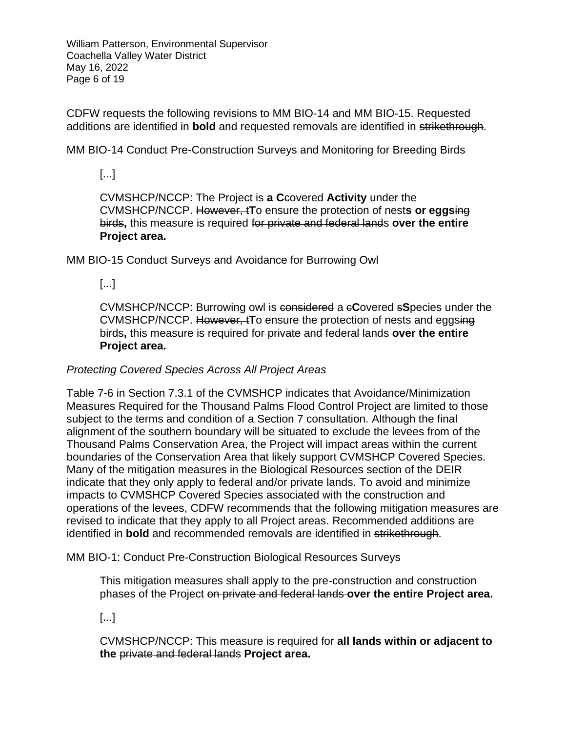William Patterson, Environmental Supervisor Coachella Valley Water District May 16, 2022 Page 6 of 19

CDFW requests the following revisions to MM BIO-14 and MM BIO-15. Requested additions are identified in **bold** and requested removals are identified in strikethrough.

MM BIO-14 Conduct Pre-Construction Surveys and Monitoring for Breeding Birds

### [...]

CVMSHCP/NCCP: The Project is **a C**covered **Activity** under the CVMSHCP/NCCP. However, t**T**o ensure the protection of nest**s or eggs**ing birds**,** this measure is required for private and federal lands **over the entire Project area.**

MM BIO-15 Conduct Surveys and Avoidance for Burrowing Owl

### [...]

CVMSHCP/NCCP: Burrowing owl is considered a c**C**overed s**S**pecies under the CVMSHCP/NCCP. However, t**T**o ensure the protection of nests and eggsing birds**,** this measure is required for private and federal lands **over the entire Project area.**

### *Protecting Covered Species Across All Project Areas*

Table 7-6 in Section 7.3.1 of the CVMSHCP indicates that Avoidance/Minimization Measures Required for the Thousand Palms Flood Control Project are limited to those subject to the terms and condition of a Section 7 consultation. Although the final alignment of the southern boundary will be situated to exclude the levees from of the Thousand Palms Conservation Area, the Project will impact areas within the current boundaries of the Conservation Area that likely support CVMSHCP Covered Species. Many of the mitigation measures in the Biological Resources section of the DEIR indicate that they only apply to federal and/or private lands. To avoid and minimize impacts to CVMSHCP Covered Species associated with the construction and operations of the levees, CDFW recommends that the following mitigation measures are revised to indicate that they apply to all Project areas. Recommended additions are identified in **bold** and recommended removals are identified in strikethrough.

MM BIO-1: Conduct Pre-Construction Biological Resources Surveys

This mitigation measures shall apply to the pre-construction and construction phases of the Project on private and federal lands **over the entire Project area.**

[...]

CVMSHCP/NCCP: This measure is required for **all lands within or adjacent to the** private and federal lands **Project area.**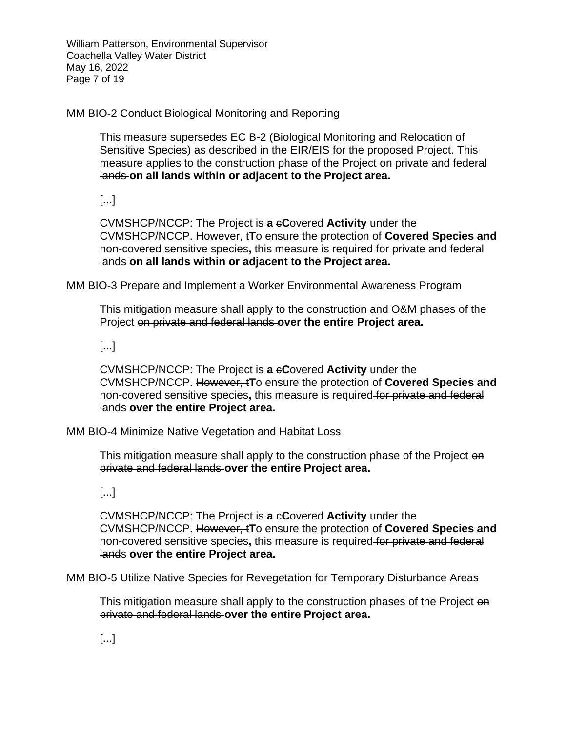William Patterson, Environmental Supervisor Coachella Valley Water District May 16, 2022 Page 7 of 19

MM BIO-2 Conduct Biological Monitoring and Reporting

This measure supersedes EC B-2 (Biological Monitoring and Relocation of Sensitive Species) as described in the EIR/EIS for the proposed Project. This measure applies to the construction phase of the Project on private and federal lands **on all lands within or adjacent to the Project area.**

[...]

CVMSHCP/NCCP: The Project is **a** c**C**overed **Activity** under the CVMSHCP/NCCP. However, t**T**o ensure the protection of **Covered Species and** non-covered sensitive species**,** this measure is required for private and federal lands **on all lands within or adjacent to the Project area.**

MM BIO-3 Prepare and Implement a Worker Environmental Awareness Program

This mitigation measure shall apply to the construction and O&M phases of the Project on private and federal lands **over the entire Project area.**

[...]

CVMSHCP/NCCP: The Project is **a** c**C**overed **Activity** under the CVMSHCP/NCCP. However, t**T**o ensure the protection of **Covered Species and** non-covered sensitive species**,** this measure is required for private and federal lands **over the entire Project area.**

MM BIO-4 Minimize Native Vegetation and Habitat Loss

This mitigation measure shall apply to the construction phase of the Project on private and federal lands **over the entire Project area.**

[...]

CVMSHCP/NCCP: The Project is **a** c**C**overed **Activity** under the CVMSHCP/NCCP. However, t**T**o ensure the protection of **Covered Species and** non-covered sensitive species**,** this measure is required for private and federal lands **over the entire Project area.**

MM BIO-5 Utilize Native Species for Revegetation for Temporary Disturbance Areas

This mitigation measure shall apply to the construction phases of the Project on private and federal lands **over the entire Project area.**

[...]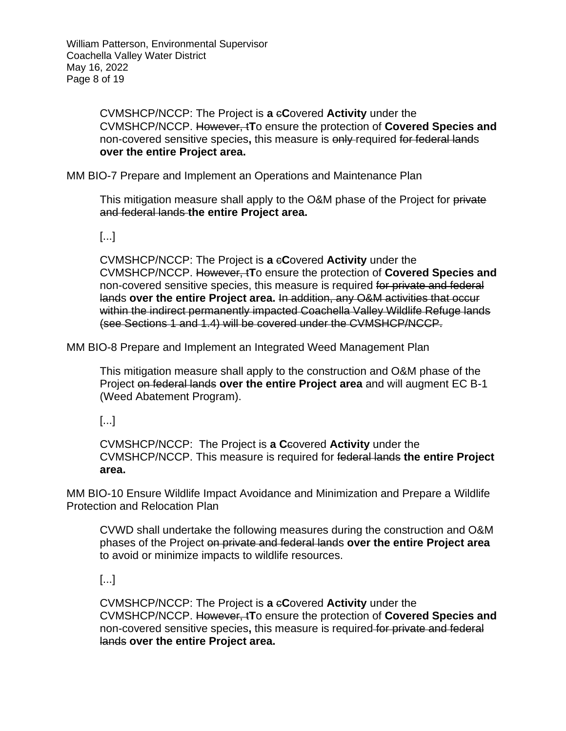CVMSHCP/NCCP: The Project is **a** c**C**overed **Activity** under the CVMSHCP/NCCP. However, t**T**o ensure the protection of **Covered Species and** non-covered sensitive species**,** this measure is only required for federal lands **over the entire Project area.**

MM BIO-7 Prepare and Implement an Operations and Maintenance Plan

This mitigation measure shall apply to the O&M phase of the Project for private and federal lands **the entire Project area.**

[...]

CVMSHCP/NCCP: The Project is **a** c**C**overed **Activity** under the CVMSHCP/NCCP. However, t**T**o ensure the protection of **Covered Species and** non-covered sensitive species, this measure is required for private and federal lands **over the entire Project area.** In addition, any O&M activities that occur within the indirect permanently impacted Coachella Valley Wildlife Refuge lands (see Sections 1 and 1.4) will be covered under the CVMSHCP/NCCP.

MM BIO-8 Prepare and Implement an Integrated Weed Management Plan

This mitigation measure shall apply to the construction and O&M phase of the Project on federal lands **over the entire Project area** and will augment EC B-1 (Weed Abatement Program).

[...]

CVMSHCP/NCCP: The Project is **a C**covered **Activity** under the CVMSHCP/NCCP. This measure is required for federal lands **the entire Project area.**

MM BIO-10 Ensure Wildlife Impact Avoidance and Minimization and Prepare a Wildlife Protection and Relocation Plan

CVWD shall undertake the following measures during the construction and O&M phases of the Project on private and federal lands **over the entire Project area**  to avoid or minimize impacts to wildlife resources.

[...]

CVMSHCP/NCCP: The Project is **a** c**C**overed **Activity** under the CVMSHCP/NCCP. However, t**T**o ensure the protection of **Covered Species and** non-covered sensitive species**,** this measure is required for private and federal lands **over the entire Project area.**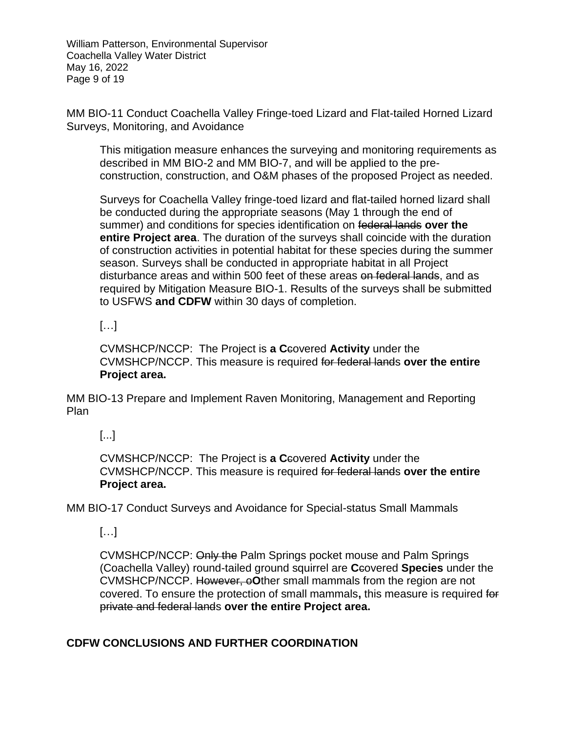William Patterson, Environmental Supervisor Coachella Valley Water District May 16, 2022 Page 9 of 19

MM BIO-11 Conduct Coachella Valley Fringe-toed Lizard and Flat-tailed Horned Lizard Surveys, Monitoring, and Avoidance

This mitigation measure enhances the surveying and monitoring requirements as described in MM BIO-2 and MM BIO-7, and will be applied to the preconstruction, construction, and O&M phases of the proposed Project as needed.

Surveys for Coachella Valley fringe-toed lizard and flat-tailed horned lizard shall be conducted during the appropriate seasons (May 1 through the end of summer) and conditions for species identification on federal lands **over the entire Project area**. The duration of the surveys shall coincide with the duration of construction activities in potential habitat for these species during the summer season. Surveys shall be conducted in appropriate habitat in all Project disturbance areas and within 500 feet of these areas on federal lands, and as required by Mitigation Measure BIO-1. Results of the surveys shall be submitted to USFWS **and CDFW** within 30 days of completion.

### $[...]$

CVMSHCP/NCCP: The Project is **a C**covered **Activity** under the CVMSHCP/NCCP. This measure is required for federal lands **over the entire Project area.**

MM BIO-13 Prepare and Implement Raven Monitoring, Management and Reporting Plan

# [...]

CVMSHCP/NCCP: The Project is **a C**covered **Activity** under the CVMSHCP/NCCP. This measure is required for federal lands **over the entire Project area.**

MM BIO-17 Conduct Surveys and Avoidance for Special-status Small Mammals

# […]

CVMSHCP/NCCP: Only the Palm Springs pocket mouse and Palm Springs (Coachella Valley) round-tailed ground squirrel are **C**covered **Species** under the CVMSHCP/NCCP. However, o**O**ther small mammals from the region are not covered. To ensure the protection of small mammals**,** this measure is required for private and federal lands **over the entire Project area.**

### **CDFW CONCLUSIONS AND FURTHER COORDINATION**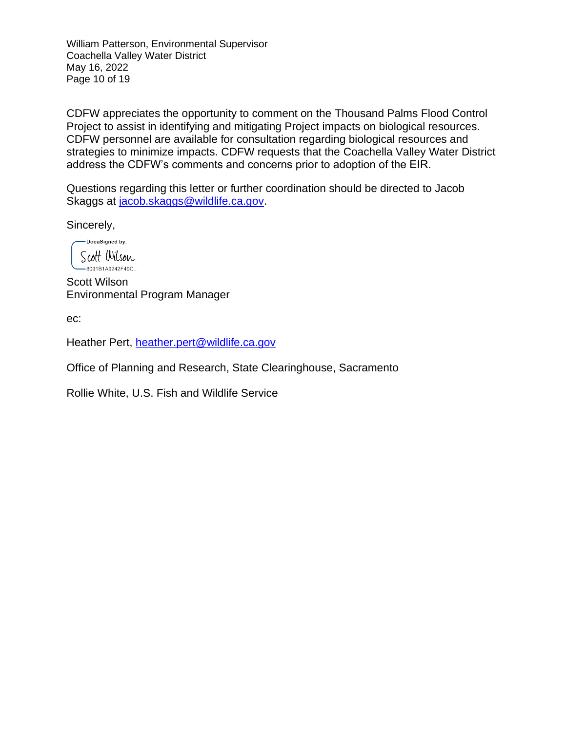William Patterson, Environmental Supervisor Coachella Valley Water District May 16, 2022 Page 10 of 19

CDFW appreciates the opportunity to comment on the Thousand Palms Flood Control Project to assist in identifying and mitigating Project impacts on biological resources. CDFW personnel are available for consultation regarding biological resources and strategies to minimize impacts. CDFW requests that the Coachella Valley Water District address the CDFW's comments and concerns prior to adoption of the EIR.

Questions regarding this letter or further coordination should be directed to Jacob Skaggs at [jacob.skaggs@wildlife.ca.gov.](mailto:jacob.skaggs@wildlife.ca.gov)

Sincerely,

-DocuSigned by: Scott Wilson -8091B1A9242F49C...

Scott Wilson Environmental Program Manager

ec:

Heather Pert, [heather.pert@wildlife.ca.gov](mailto:heather.pert@wildlife.ca.gov)

Office of Planning and Research, State Clearinghouse, Sacramento

Rollie White, U.S. Fish and Wildlife Service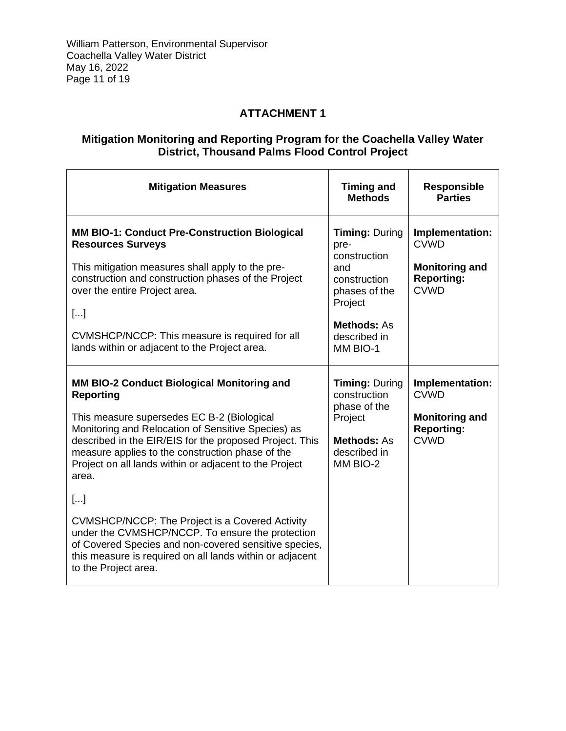# **ATTACHMENT 1**

### **Mitigation Monitoring and Reporting Program for the Coachella Valley Water District, Thousand Palms Flood Control Project**

| <b>Mitigation Measures</b>                                                                                                                                                                                                                                                                                                                           | <b>Timing and</b><br><b>Methods</b>                                                                                                                | <b>Responsible</b><br><b>Parties</b>                                                        |
|------------------------------------------------------------------------------------------------------------------------------------------------------------------------------------------------------------------------------------------------------------------------------------------------------------------------------------------------------|----------------------------------------------------------------------------------------------------------------------------------------------------|---------------------------------------------------------------------------------------------|
| <b>MM BIO-1: Conduct Pre-Construction Biological</b><br><b>Resources Surveys</b><br>This mitigation measures shall apply to the pre-<br>construction and construction phases of the Project<br>over the entire Project area.<br>$[]$<br>CVMSHCP/NCCP: This measure is required for all<br>lands within or adjacent to the Project area.              | <b>Timing: During</b><br>pre-<br>construction<br>and<br>construction<br>phases of the<br>Project<br><b>Methods: As</b><br>described in<br>MM BIO-1 | Implementation:<br><b>CVWD</b><br><b>Monitoring and</b><br><b>Reporting:</b><br><b>CVWD</b> |
| MM BIO-2 Conduct Biological Monitoring and<br><b>Reporting</b><br>This measure supersedes EC B-2 (Biological<br>Monitoring and Relocation of Sensitive Species) as<br>described in the EIR/EIS for the proposed Project. This<br>measure applies to the construction phase of the<br>Project on all lands within or adjacent to the Project<br>area. | <b>Timing: During</b><br>construction<br>phase of the<br>Project<br><b>Methods: As</b><br>described in<br>MM BIO-2                                 | Implementation:<br><b>CVWD</b><br><b>Monitoring and</b><br><b>Reporting:</b><br><b>CVWD</b> |
| $[]$<br>CVMSHCP/NCCP: The Project is a Covered Activity<br>under the CVMSHCP/NCCP. To ensure the protection<br>of Covered Species and non-covered sensitive species,<br>this measure is required on all lands within or adjacent<br>to the Project area.                                                                                             |                                                                                                                                                    |                                                                                             |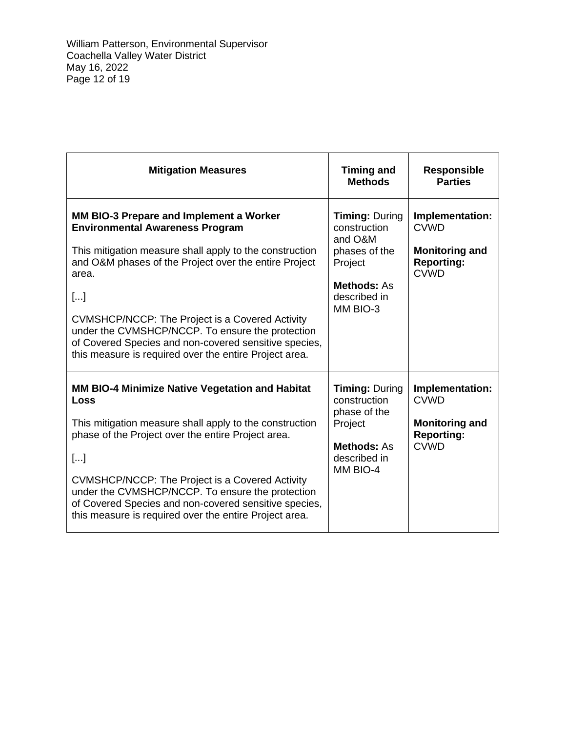| <b>Mitigation Measures</b>                                                                                                                                                                                                                                                                                                                                                                                                                       | <b>Timing and</b><br><b>Methods</b>                                                                                            | <b>Responsible</b><br><b>Parties</b>                                                        |
|--------------------------------------------------------------------------------------------------------------------------------------------------------------------------------------------------------------------------------------------------------------------------------------------------------------------------------------------------------------------------------------------------------------------------------------------------|--------------------------------------------------------------------------------------------------------------------------------|---------------------------------------------------------------------------------------------|
| MM BIO-3 Prepare and Implement a Worker<br><b>Environmental Awareness Program</b><br>This mitigation measure shall apply to the construction<br>and O&M phases of the Project over the entire Project<br>area.<br>$[]$<br>CVMSHCP/NCCP: The Project is a Covered Activity<br>under the CVMSHCP/NCCP. To ensure the protection<br>of Covered Species and non-covered sensitive species,<br>this measure is required over the entire Project area. | <b>Timing: During</b><br>construction<br>and O&M<br>phases of the<br>Project<br><b>Methods: As</b><br>described in<br>MM BIO-3 | Implementation:<br><b>CVWD</b><br><b>Monitoring and</b><br><b>Reporting:</b><br><b>CVWD</b> |
| <b>MM BIO-4 Minimize Native Vegetation and Habitat</b><br>Loss<br>This mitigation measure shall apply to the construction<br>phase of the Project over the entire Project area.<br>$[]$<br>CVMSHCP/NCCP: The Project is a Covered Activity<br>under the CVMSHCP/NCCP. To ensure the protection<br>of Covered Species and non-covered sensitive species,<br>this measure is required over the entire Project area.                                | <b>Timing: During</b><br>construction<br>phase of the<br>Project<br><b>Methods: As</b><br>described in<br>MM BIO-4             | Implementation:<br><b>CVWD</b><br><b>Monitoring and</b><br><b>Reporting:</b><br><b>CVWD</b> |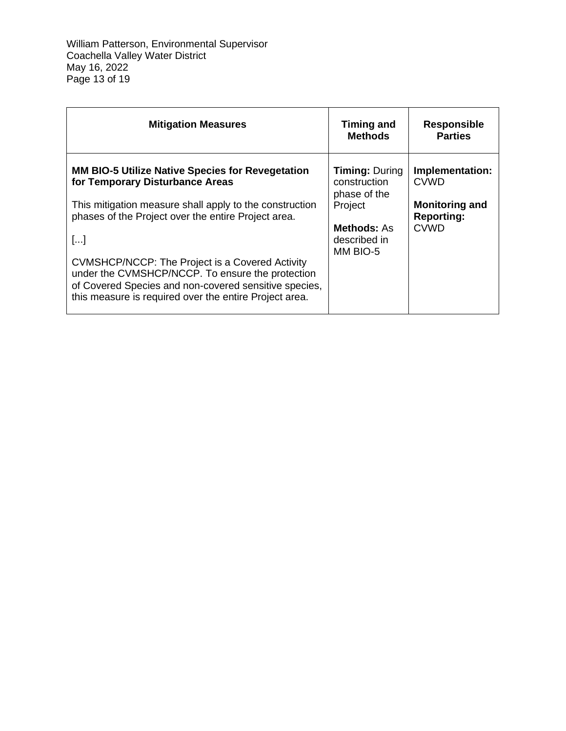William Patterson, Environmental Supervisor Coachella Valley Water District May 16, 2022 Page 13 of 19

| <b>Mitigation Measures</b>                                                                                                                                                                                                                                                                                                                                                                                                                   | <b>Timing and</b><br><b>Methods</b>                                                                                | <b>Responsible</b><br><b>Parties</b>                                                        |
|----------------------------------------------------------------------------------------------------------------------------------------------------------------------------------------------------------------------------------------------------------------------------------------------------------------------------------------------------------------------------------------------------------------------------------------------|--------------------------------------------------------------------------------------------------------------------|---------------------------------------------------------------------------------------------|
| <b>MM BIO-5 Utilize Native Species for Revegetation</b><br>for Temporary Disturbance Areas<br>This mitigation measure shall apply to the construction<br>phases of the Project over the entire Project area.<br>[]<br>CVMSHCP/NCCP: The Project is a Covered Activity<br>under the CVMSHCP/NCCP. To ensure the protection<br>of Covered Species and non-covered sensitive species,<br>this measure is required over the entire Project area. | <b>Timing: During</b><br>construction<br>phase of the<br>Project<br><b>Methods: As</b><br>described in<br>MM BIO-5 | Implementation:<br><b>CVWD</b><br><b>Monitoring and</b><br><b>Reporting:</b><br><b>CVWD</b> |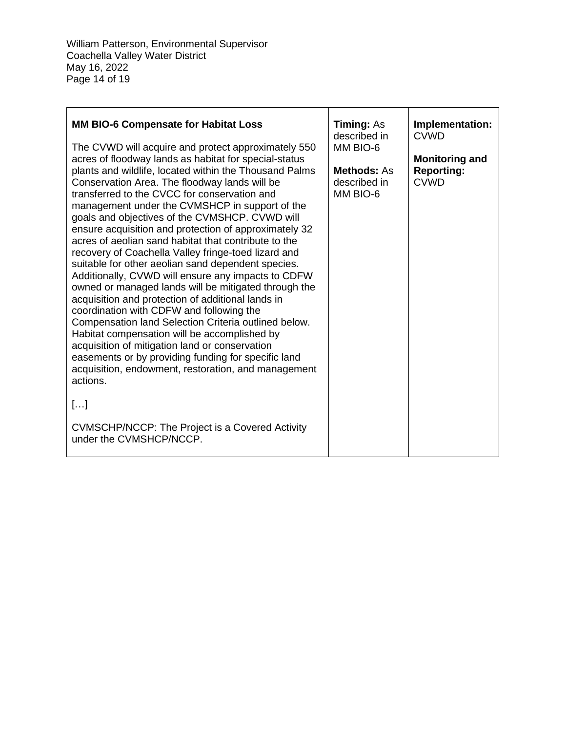William Patterson, Environmental Supervisor Coachella Valley Water District May 16, 2022 Page 14 of 19

| MM BIO-6 Compensate for Habitat Loss<br>The CVWD will acquire and protect approximately 550<br>acres of floodway lands as habitat for special-status<br>plants and wildlife, located within the Thousand Palms<br>Conservation Area. The floodway lands will be<br>transferred to the CVCC for conservation and<br>management under the CVMSHCP in support of the<br>goals and objectives of the CVMSHCP. CVWD will<br>ensure acquisition and protection of approximately 32<br>acres of aeolian sand habitat that contribute to the<br>recovery of Coachella Valley fringe-toed lizard and<br>suitable for other aeolian sand dependent species.<br>Additionally, CVWD will ensure any impacts to CDFW<br>owned or managed lands will be mitigated through the<br>acquisition and protection of additional lands in<br>coordination with CDFW and following the<br>Compensation land Selection Criteria outlined below.<br>Habitat compensation will be accomplished by<br>acquisition of mitigation land or conservation<br>easements or by providing funding for specific land | <b>Timing: As</b><br>described in<br>MM BIO-6<br><b>Methods: As</b><br>described in<br>MM BIO-6 | Implementation:<br><b>CVWD</b><br><b>Monitoring and</b><br><b>Reporting:</b><br><b>CVWD</b> |
|-----------------------------------------------------------------------------------------------------------------------------------------------------------------------------------------------------------------------------------------------------------------------------------------------------------------------------------------------------------------------------------------------------------------------------------------------------------------------------------------------------------------------------------------------------------------------------------------------------------------------------------------------------------------------------------------------------------------------------------------------------------------------------------------------------------------------------------------------------------------------------------------------------------------------------------------------------------------------------------------------------------------------------------------------------------------------------------|-------------------------------------------------------------------------------------------------|---------------------------------------------------------------------------------------------|
| acquisition, endowment, restoration, and management<br>actions.                                                                                                                                                                                                                                                                                                                                                                                                                                                                                                                                                                                                                                                                                                                                                                                                                                                                                                                                                                                                                   |                                                                                                 |                                                                                             |
| $[]$                                                                                                                                                                                                                                                                                                                                                                                                                                                                                                                                                                                                                                                                                                                                                                                                                                                                                                                                                                                                                                                                              |                                                                                                 |                                                                                             |
| CVMSCHP/NCCP: The Project is a Covered Activity<br>under the CVMSHCP/NCCP.                                                                                                                                                                                                                                                                                                                                                                                                                                                                                                                                                                                                                                                                                                                                                                                                                                                                                                                                                                                                        |                                                                                                 |                                                                                             |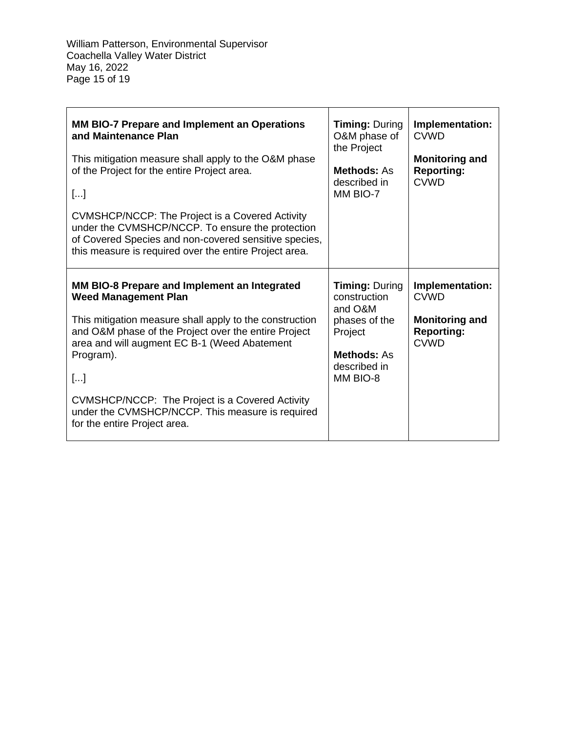William Patterson, Environmental Supervisor Coachella Valley Water District May 16, 2022 Page 15 of 19

| MM BIO-7 Prepare and Implement an Operations<br>and Maintenance Plan<br>This mitigation measure shall apply to the O&M phase<br>of the Project for the entire Project area.<br>$[]$<br>CVMSHCP/NCCP: The Project is a Covered Activity<br>under the CVMSHCP/NCCP. To ensure the protection<br>of Covered Species and non-covered sensitive species,<br>this measure is required over the entire Project area. | <b>Timing: During</b><br>O&M phase of<br>the Project<br><b>Methods: As</b><br>described in<br>MM BIO-7                         | Implementation:<br><b>CVWD</b><br><b>Monitoring and</b><br><b>Reporting:</b><br><b>CVWD</b> |
|---------------------------------------------------------------------------------------------------------------------------------------------------------------------------------------------------------------------------------------------------------------------------------------------------------------------------------------------------------------------------------------------------------------|--------------------------------------------------------------------------------------------------------------------------------|---------------------------------------------------------------------------------------------|
| MM BIO-8 Prepare and Implement an Integrated<br><b>Weed Management Plan</b><br>This mitigation measure shall apply to the construction<br>and O&M phase of the Project over the entire Project<br>area and will augment EC B-1 (Weed Abatement<br>Program).<br>$[]$<br>CVMSHCP/NCCP: The Project is a Covered Activity<br>under the CVMSHCP/NCCP. This measure is required<br>for the entire Project area.    | <b>Timing: During</b><br>construction<br>and O&M<br>phases of the<br>Project<br><b>Methods: As</b><br>described in<br>MM BIO-8 | Implementation:<br><b>CVWD</b><br><b>Monitoring and</b><br><b>Reporting:</b><br><b>CVWD</b> |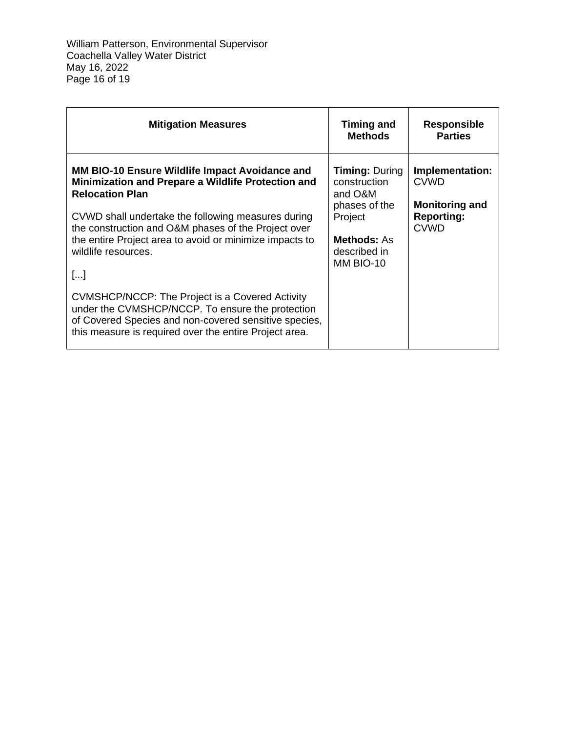William Patterson, Environmental Supervisor Coachella Valley Water District May 16, 2022 Page 16 of 19

| <b>Mitigation Measures</b>                                                                                                                                                                                                                                                                                                                   | <b>Timing and</b><br><b>Methods</b>                                                                                             | <b>Responsible</b><br><b>Parties</b>                                                        |
|----------------------------------------------------------------------------------------------------------------------------------------------------------------------------------------------------------------------------------------------------------------------------------------------------------------------------------------------|---------------------------------------------------------------------------------------------------------------------------------|---------------------------------------------------------------------------------------------|
| <b>MM BIO-10 Ensure Wildlife Impact Avoidance and</b><br>Minimization and Prepare a Wildlife Protection and<br><b>Relocation Plan</b><br>CVWD shall undertake the following measures during<br>the construction and O&M phases of the Project over<br>the entire Project area to avoid or minimize impacts to<br>wildlife resources.<br>$[]$ | <b>Timing: During</b><br>construction<br>and O&M<br>phases of the<br>Project<br><b>Methods: As</b><br>described in<br>MM BIO-10 | Implementation:<br><b>CVWD</b><br><b>Monitoring and</b><br><b>Reporting:</b><br><b>CVWD</b> |
| <b>CVMSHCP/NCCP: The Project is a Covered Activity</b><br>under the CVMSHCP/NCCP. To ensure the protection<br>of Covered Species and non-covered sensitive species,<br>this measure is required over the entire Project area.                                                                                                                |                                                                                                                                 |                                                                                             |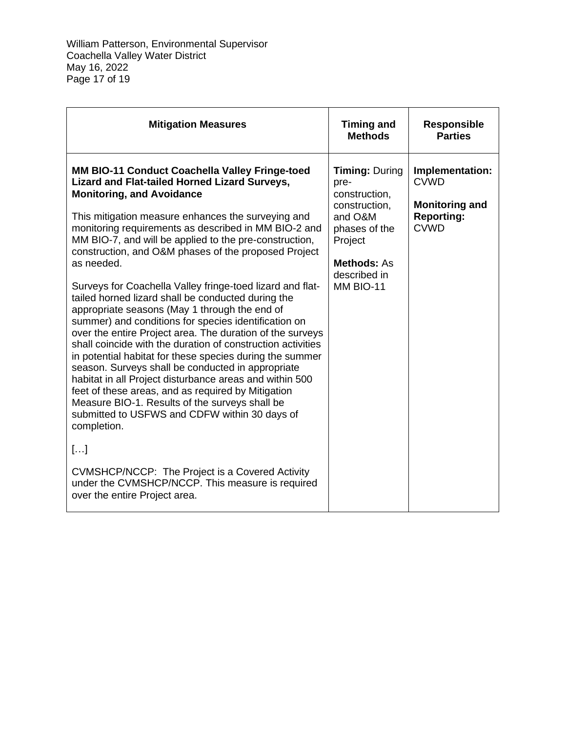William Patterson, Environmental Supervisor Coachella Valley Water District May 16, 2022 Page 17 of 19

| <b>Mitigation Measures</b>                                                                                                                                                                                                                                                                                                                                                                                                                                                                                                                                                                                                                                                                                                                                                                                                                                                                                                                                                                                                                                                                                                                                                                                                                                  | <b>Timing and</b><br><b>Methods</b>                                                                                                                       | <b>Responsible</b><br><b>Parties</b>                                                        |
|-------------------------------------------------------------------------------------------------------------------------------------------------------------------------------------------------------------------------------------------------------------------------------------------------------------------------------------------------------------------------------------------------------------------------------------------------------------------------------------------------------------------------------------------------------------------------------------------------------------------------------------------------------------------------------------------------------------------------------------------------------------------------------------------------------------------------------------------------------------------------------------------------------------------------------------------------------------------------------------------------------------------------------------------------------------------------------------------------------------------------------------------------------------------------------------------------------------------------------------------------------------|-----------------------------------------------------------------------------------------------------------------------------------------------------------|---------------------------------------------------------------------------------------------|
| <b>MM BIO-11 Conduct Coachella Valley Fringe-toed</b><br><b>Lizard and Flat-tailed Horned Lizard Surveys,</b><br><b>Monitoring, and Avoidance</b><br>This mitigation measure enhances the surveying and<br>monitoring requirements as described in MM BIO-2 and<br>MM BIO-7, and will be applied to the pre-construction,<br>construction, and O&M phases of the proposed Project<br>as needed.<br>Surveys for Coachella Valley fringe-toed lizard and flat-<br>tailed horned lizard shall be conducted during the<br>appropriate seasons (May 1 through the end of<br>summer) and conditions for species identification on<br>over the entire Project area. The duration of the surveys<br>shall coincide with the duration of construction activities<br>in potential habitat for these species during the summer<br>season. Surveys shall be conducted in appropriate<br>habitat in all Project disturbance areas and within 500<br>feet of these areas, and as required by Mitigation<br>Measure BIO-1. Results of the surveys shall be<br>submitted to USFWS and CDFW within 30 days of<br>completion.<br>$[]$<br>CVMSHCP/NCCP: The Project is a Covered Activity<br>under the CVMSHCP/NCCP. This measure is required<br>over the entire Project area. | <b>Timing: During</b><br>pre-<br>construction,<br>construction.<br>and O&M<br>phases of the<br>Project<br><b>Methods: As</b><br>described in<br>MM BIO-11 | Implementation:<br><b>CVWD</b><br><b>Monitoring and</b><br><b>Reporting:</b><br><b>CVWD</b> |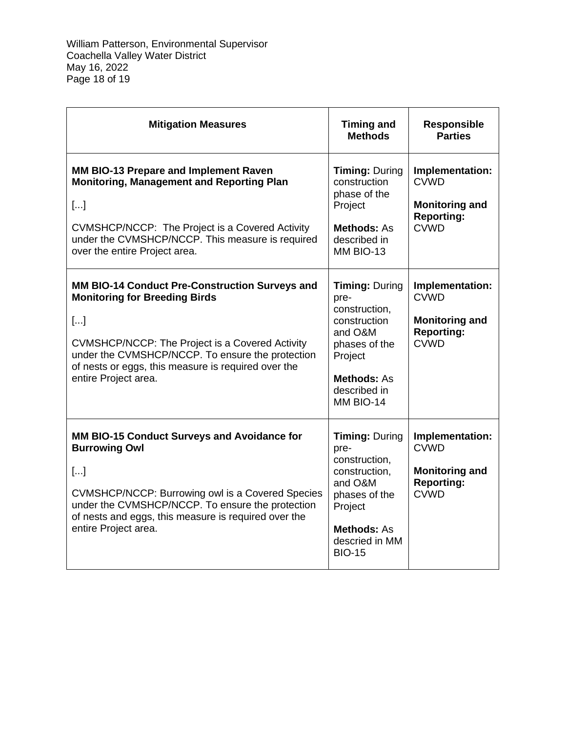William Patterson, Environmental Supervisor Coachella Valley Water District May 16, 2022 Page 18 of 19

| <b>Mitigation Measures</b>                                                                                                                                                                                                                                                                | <b>Timing and</b><br><b>Methods</b>                                                                                                                             | <b>Responsible</b><br><b>Parties</b>                                                        |
|-------------------------------------------------------------------------------------------------------------------------------------------------------------------------------------------------------------------------------------------------------------------------------------------|-----------------------------------------------------------------------------------------------------------------------------------------------------------------|---------------------------------------------------------------------------------------------|
| MM BIO-13 Prepare and Implement Raven<br><b>Monitoring, Management and Reporting Plan</b><br>$[]$<br>CVMSHCP/NCCP: The Project is a Covered Activity<br>under the CVMSHCP/NCCP. This measure is required<br>over the entire Project area.                                                 | <b>Timing: During</b><br>construction<br>phase of the<br>Project<br><b>Methods: As</b><br>described in<br>MM BIO-13                                             | Implementation:<br><b>CVWD</b><br><b>Monitoring and</b><br><b>Reporting:</b><br><b>CVWD</b> |
| MM BIO-14 Conduct Pre-Construction Surveys and<br><b>Monitoring for Breeding Birds</b><br>[]<br><b>CVMSHCP/NCCP: The Project is a Covered Activity</b><br>under the CVMSHCP/NCCP. To ensure the protection<br>of nests or eggs, this measure is required over the<br>entire Project area. | <b>Timing: During</b><br>pre-<br>construction,<br>construction<br>and O&M<br>phases of the<br>Project<br>Methods: As<br>described in<br>MM BIO-14               | Implementation:<br><b>CVWD</b><br><b>Monitoring and</b><br><b>Reporting:</b><br><b>CVWD</b> |
| MM BIO-15 Conduct Surveys and Avoidance for<br><b>Burrowing Owl</b><br>[]<br>CVMSHCP/NCCP: Burrowing owl is a Covered Species<br>under the CVMSHCP/NCCP. To ensure the protection<br>of nests and eggs, this measure is required over the<br>entire Project area.                         | <b>Timing: During</b><br>pre-<br>construction,<br>construction,<br>and O&M<br>phases of the<br>Project<br><b>Methods: As</b><br>descried in MM<br><b>BIO-15</b> | Implementation:<br><b>CVWD</b><br><b>Monitoring and</b><br><b>Reporting:</b><br><b>CVWD</b> |